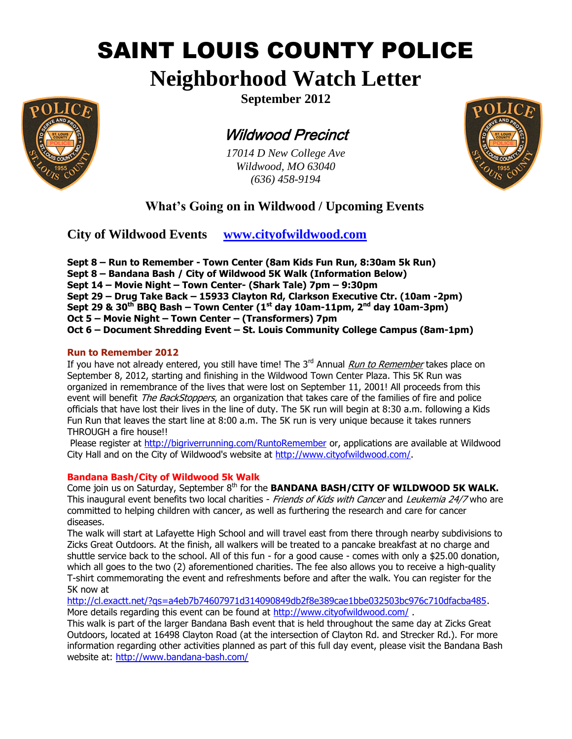# SAINT LOUIS COUNTY POLICE

## **Neighborhood Watch Letter**



**September 2012**

## Wildwood Precinct

*17014 D New College Ave Wildwood, MO 63040 (636) 458-9194*



## **What's Going on in Wildwood / Upcoming Events**

**City of Wildwood Events [www.cityofwildwood.com](http://www.cityofwildwood.com/)**

**Sept 8 – Run to Remember - Town Center (8am Kids Fun Run, 8:30am 5k Run) Sept 8 – Bandana Bash / City of Wildwood 5K Walk (Information Below) Sept 14 – Movie Night – Town Center- (Shark Tale) 7pm – 9:30pm Sept 29 – Drug Take Back – 15933 Clayton Rd, Clarkson Executive Ctr. (10am -2pm) Sept 29 & 30th BBQ Bash – Town Center (1st day 10am-11pm, 2nd day 10am-3pm) Oct 5 – Movie Night – Town Center – (Transformers) 7pm Oct 6 – Document Shredding Event – St. Louis Community College Campus (8am-1pm)**

#### **Run to Remember 2012**

If you have not already entered, you still have time! The  $3<sup>rd</sup>$  Annual *Run to Remember* takes place on September 8, 2012, starting and finishing in the Wildwood Town Center Plaza. This 5K Run was organized in remembrance of the lives that were lost on September 11, 2001! All proceeds from this event will benefit *The BackStoppers*, an organization that takes care of the families of fire and police officials that have lost their lives in the line of duty. The 5K run will begin at 8:30 a.m. following a Kids Fun Run that leaves the start line at 8:00 a.m. The 5K run is very unique because it takes runners THROUGH a fire house!!

Please register at<http://bigriverrunning.com/RuntoRemember> or, applications are available at Wildwood City Hall and on the City of Wildwood's website at [http://www.cityofwildwood.com/.](http://www.cityofwildwood.com/)

### **Bandana Bash/City of Wildwood 5k Walk**

Come join us on Saturday, September 8<sup>th</sup> for the **BANDANA BASH/CITY OF WILDWOOD 5K WALK.** This inaugural event benefits two local charities - Friends of Kids with Cancer and Leukemia 24/7 who are committed to helping children with cancer, as well as furthering the research and care for cancer diseases.

The walk will start at Lafayette High School and will travel east from there through nearby subdivisions to Zicks Great Outdoors. At the finish, all walkers will be treated to a pancake breakfast at no charge and shuttle service back to the school. All of this fun - for a good cause - comes with only a \$25.00 donation, which all goes to the two (2) aforementioned charities. The fee also allows you to receive a high-quality T-shirt commemorating the event and refreshments before and after the walk. You can register for the 5K now at

[http://cl.exactt.net/?qs=a4eb7b74607971d314090849db2f8e389cae1bbe032503bc976c710dfacba485.](http://cl.exactt.net/?qs=a4eb7b74607971d314090849db2f8e389cae1bbe032503bc976c710dfacba485) More details regarding this event can be found at<http://www.cityofwildwood.com/>.

This walk is part of the larger Bandana Bash event that is held throughout the same day at Zicks Great Outdoors, located at 16498 Clayton Road (at the intersection of Clayton Rd. and Strecker Rd.). For more information regarding other activities planned as part of this full day event, please visit the Bandana Bash website at:<http://www.bandana-bash.com/>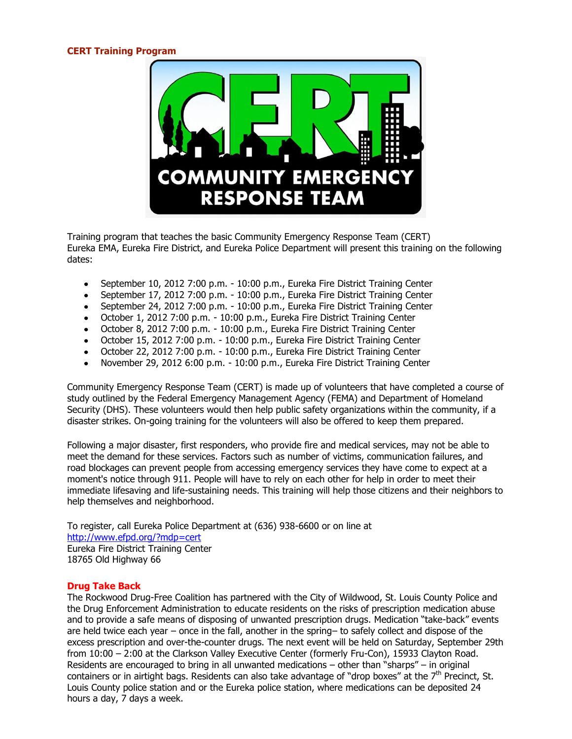#### **CERT Training Program**



Training program that teaches the basic Community Emergency Response Team (CERT) Eureka EMA, Eureka Fire District, and Eureka Police Department will present this training on the following dates:

- September 10, 2012 7:00 p.m. 10:00 p.m., Eureka Fire District Training Center  $\bullet$
- September 17, 2012 7:00 p.m. 10:00 p.m., Eureka Fire District Training Center
- September 24, 2012 7:00 p.m. 10:00 p.m., Eureka Fire District Training Center
- October 1, 2012 7:00 p.m. 10:00 p.m., Eureka Fire District Training Center
- October 8, 2012 7:00 p.m. 10:00 p.m., Eureka Fire District Training Center
- October 15, 2012 7:00 p.m. 10:00 p.m., Eureka Fire District Training Center
- October 22, 2012 7:00 p.m. 10:00 p.m., Eureka Fire District Training Center  $\bullet$
- $\bullet$ November 29, 2012 6:00 p.m. - 10:00 p.m., Eureka Fire District Training Center

Community Emergency Response Team (CERT) is made up of volunteers that have completed a course of study outlined by the Federal Emergency Management Agency (FEMA) and Department of Homeland Security (DHS). These volunteers would then help public safety organizations within the community, if a disaster strikes. On-going training for the volunteers will also be offered to keep them prepared.

Following a major disaster, first responders, who provide fire and medical services, may not be able to meet the demand for these services. Factors such as number of victims, communication failures, and road blockages can prevent people from accessing emergency services they have come to expect at a moment's notice through 911. People will have to rely on each other for help in order to meet their immediate lifesaving and life-sustaining needs. This training will help those citizens and their neighbors to help themselves and neighborhood.

To register, call Eureka Police Department at (636) 938-6600 or on line at <http://www.efpd.org/?mdp=cert> Eureka Fire District Training Center 18765 Old Highway 66

#### **Drug Take Back**

The Rockwood Drug-Free Coalition has partnered with the City of Wildwood, St. Louis County Police and the Drug Enforcement Administration to educate residents on the risks of prescription medication abuse and to provide a safe means of disposing of unwanted prescription drugs. Medication "take-back" events are held twice each year – once in the fall, another in the spring– to safely collect and dispose of the excess prescription and over-the-counter drugs. The next event will be held on Saturday, September 29th from 10:00 – 2:00 at the Clarkson Valley Executive Center (formerly Fru-Con), 15933 Clayton Road. Residents are encouraged to bring in all unwanted medications – other than "sharps" – in original containers or in airtight bags. Residents can also take advantage of "drop boxes" at the  $7<sup>th</sup>$  Precinct, St. Louis County police station and or the Eureka police station, where medications can be deposited 24 hours a day, 7 days a week.